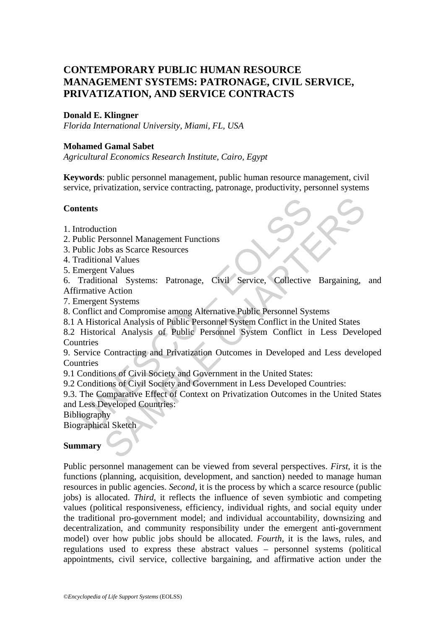# **CONTEMPORARY PUBLIC HUMAN RESOURCE MANAGEMENT SYSTEMS: PATRONAGE, CIVIL SERVICE, PRIVATIZATION, AND SERVICE CONTRACTS**

#### **Donald E. Klingner**

*Florida International University, Miami, FL, USA* 

#### **Mohamed Gamal Sabet**

*Agricultural Economics Research Institute, Cairo, Egypt* 

**Keywords**: public personnel management, public human resource management, civil service, privatization, service contracting, patronage, productivity, personnel systems

#### **Contents**

- 1. Introduction
- 2. Public Personnel Management Functions
- 3. Public Jobs as Scarce Resources
- 4. Traditional Values
- 5. Emergent Values

6. Traditional Systems: Patronage, Civil Service, Collective Bargaining, and Affirmative Action

7. Emergent Systems

8. Conflict and Compromise among Alternative Public Personnel Systems

8.1 A Historical Analysis of Public Personnel System Conflict in the United States

8.2 Historical Analysis of Public Personnel System Conflict in Less Developed **Countries** 

**Example 18 Second Management Functions**<br>
Introduction<br>
ublic Jobs as Scarce Resources<br>
raditional Values<br>
Traditional Systems: Patronage, Civil Service, Collective<br>
raditional Systems: Patronage, Civil Service, Collective The Management Functions<br>
Sobs as Scarce Resources<br>
Sobs as Scarce Resources<br>
Int Values<br>
Sobs as Scarce Resources<br>
Action<br>
Action<br>
Action<br>
Action<br>
Action<br>
Action<br>
Action Analysis of Public Personnel System Conflict in the 9. Service Contracting and Privatization Outcomes in Developed and Less developed **Countries** 

9.1 Conditions of Civil Society and Government in the United States:

9.2 Conditions of Civil Society and Government in Less Developed Countries:

9.3. The Comparative Effect of Context on Privatization Outcomes in the United States and Less Developed Countries:

Bibliography

Biographical Sketch

#### **Summary**

Public personnel management can be viewed from several perspectives. *First*, it is the functions (planning, acquisition, development, and sanction) needed to manage human resources in public agencies. *Second*, it is the process by which a scarce resource (public jobs) is allocated. *Third*, it reflects the influence of seven symbiotic and competing values (political responsiveness, efficiency, individual rights, and social equity under the traditional pro-government model; and individual accountability, downsizing and decentralization, and community responsibility under the emergent anti-government model) over how public jobs should be allocated. *Fourth*, it is the laws, rules, and regulations used to express these abstract values – personnel systems (political appointments, civil service, collective bargaining, and affirmative action under the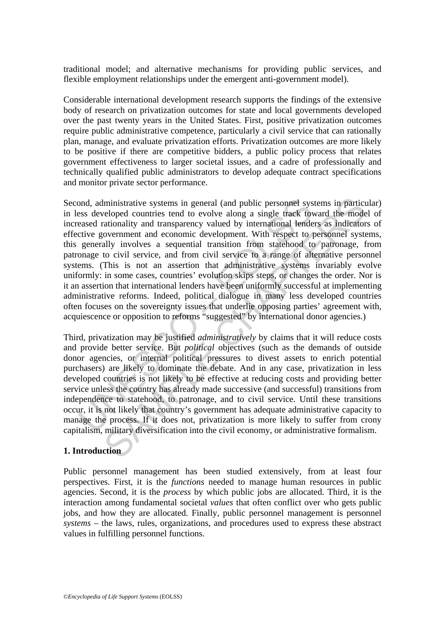traditional model; and alternative mechanisms for providing public services, and flexible employment relationships under the emergent anti-government model).

Considerable international development research supports the findings of the extensive body of research on privatization outcomes for state and local governments developed over the past twenty years in the United States. First, positive privatization outcomes require public administrative competence, particularly a civil service that can rationally plan, manage, and evaluate privatization efforts. Privatization outcomes are more likely to be positive if there are competitive bidders, a public policy process that relates government effectiveness to larger societal issues, and a cadre of professionally and technically qualified public administrators to develop adequate contract specifications and monitor private sector performance.

ond, administrative systems in general (and public personnel systems developed countries tend to evolve along a single track towased rationality and transparency valued by international lende<br>citve government and economic lministrative systems in general (and public personnel systems in partice<br>leoped countries tend to evolve along a single track toward the mode<br>ationality and transparency valued by international lenders as indetector<br>overn Second, administrative systems in general (and public personnel systems in particular) in less developed countries tend to evolve along a single track toward the model of increased rationality and transparency valued by international lenders as indicators of effective government and economic development. With respect to personnel systems, this generally involves a sequential transition from statehood to patronage, from patronage to civil service, and from civil service to a range of alternative personnel systems. (This is not an assertion that administrative systems invariably evolve uniformly: in some cases, countries' evolution skips steps, or changes the order. Nor is it an assertion that international lenders have been uniformly successful at implementing administrative reforms. Indeed, political dialogue in many less developed countries often focuses on the sovereignty issues that underlie opposing parties' agreement with, acquiescence or opposition to reforms "suggested" by international donor agencies.)

Third, privatization may be justified *administratively* by claims that it will reduce costs and provide better service. But *political* objectives (such as the demands of outside donor agencies, or internal political pressures to divest assets to enrich potential purchasers) are likely to dominate the debate. And in any case, privatization in less developed countries is not likely to be effective at reducing costs and providing better service unless the country has already made successive (and successful) transitions from independence to statehood, to patronage, and to civil service. Until these transitions occur, it is not likely that country's government has adequate administrative capacity to manage the process. If it does not, privatization is more likely to suffer from crony capitalism, military diversification into the civil economy, or administrative formalism.

#### **1. Introduction**

Public personnel management has been studied extensively, from at least four perspectives. First, it is the *functions* needed to manage human resources in public agencies. Second, it is the *process* by which public jobs are allocated. Third, it is the interaction among fundamental societal *values* that often conflict over who gets public jobs, and how they are allocated. Finally, public personnel management is personnel *systems* – the laws, rules, organizations, and procedures used to express these abstract values in fulfilling personnel functions.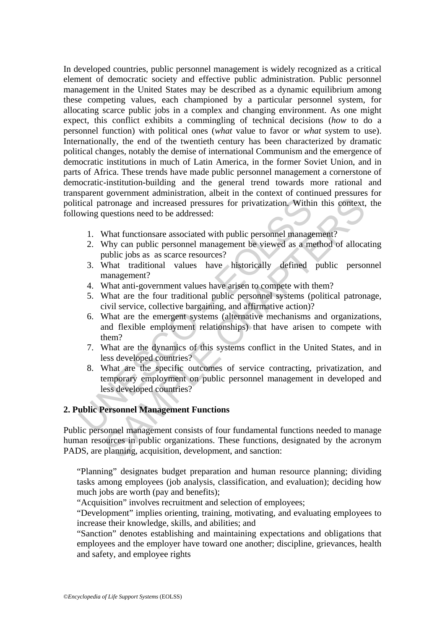In developed countries, public personnel management is widely recognized as a critical element of democratic society and effective public administration. Public personnel management in the United States may be described as a dynamic equilibrium among these competing values, each championed by a particular personnel system, for allocating scarce public jobs in a complex and changing environment. As one might expect, this conflict exhibits a commingling of technical decisions (*how* to do a personnel function) with political ones (*what* value to favor or *what* system to use). Internationally, the end of the twentieth century has been characterized by dramatic political changes, notably the demise of international Communism and the emergence of democratic institutions in much of Latin America, in the former Soviet Union, and in parts of Africa. These trends have made public personnel management a cornerstone of democratic-institution-building and the general trend towards more rational and transparent government administration, albeit in the context of continued pressures for political patronage and increased pressures for privatization. Within this context, the following questions need to be addressed:

- 1. What functionsare associated with public personnel management?
- 2. Why can public personnel management be viewed as a method of allocating public jobs as as scarce resources?
- 3. What traditional values have historically defined public personnel management?
- 4. What anti-government values have arisen to compete with them?
- 5. What are the four traditional public personnel systems (political patronage, civil service, collective bargaining, and affirmative action)?
- Transference and increased pressures for privatization. Withivary<br>itical patronage and increased versures for privatization. Withiver<br>wing questions need to be addressed:<br>1. What functions<br>are associated with public person ationage and increased pressures for privatization. Within this context, questions need to be addressed:<br>
What functionsare associated with public personnel management?<br>
Why can public personnel management be viewed as a m 6. What are the emergent systems (alternative mechanisms and organizations, and flexible employment relationships) that have arisen to compete with them?
	- 7. What are the dynamics of this systems conflict in the United States, and in less developed countries?
	- 8. What are the specific outcomes of service contracting, privatization, and temporary employment on public personnel management in developed and less developed countries?

## **2. Public Personnel Management Functions**

Public personnel management consists of four fundamental functions needed to manage human resources in public organizations. These functions, designated by the acronym PADS, are planning, acquisition, development, and sanction:

"Planning" designates budget preparation and human resource planning; dividing tasks among employees (job analysis, classification, and evaluation); deciding how much jobs are worth (pay and benefits);

"Acquisition" involves recruitment and selection of employees;

"Development" implies orienting, training, motivating, and evaluating employees to increase their knowledge, skills, and abilities; and

"Sanction" denotes establishing and maintaining expectations and obligations that employees and the employer have toward one another; discipline, grievances, health and safety, and employee rights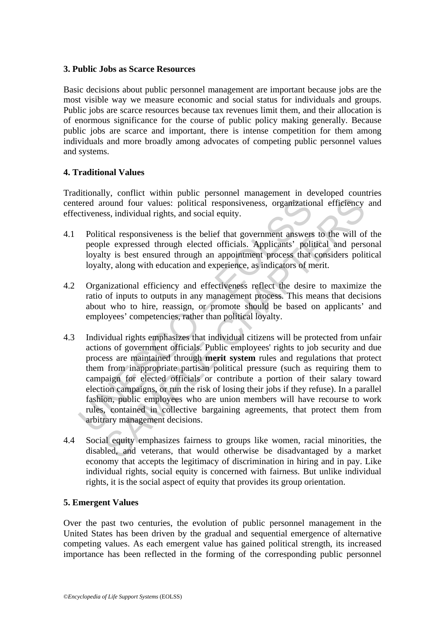#### **3. Public Jobs as Scarce Resources**

Basic decisions about public personnel management are important because jobs are the most visible way we measure economic and social status for individuals and groups. Public jobs are scarce resources because tax revenues limit them, and their allocation is of enormous significance for the course of public policy making generally. Because public jobs are scarce and important, there is intense competition for them among individuals and more broadly among advocates of competing public personnel values and systems.

#### **4. Traditional Values**

Traditionally, conflict within public personnel management in developed countries centered around four values: political responsiveness, organizational efficiency and effectiveness, individual rights, and social equity.

- 4.1 Political responsiveness is the belief that government answers to the will of the people expressed through elected officials. Applicants' political and personal loyalty is best ensured through an appointment process that considers political loyalty, along with education and experience, as indicators of merit.
- 4.2 Organizational efficiency and effectiveness reflect the desire to maximize the ratio of inputs to outputs in any management process. This means that decisions about who to hire, reassign, or promote should be based on applicants' and employees' competencies, rather than political loyalty.
- ered around four values: political responsiveness, organization<br>citiveness, individual rights, and social equity.<br>Political responsiveness is the belief that government answers<br>people expressed through elected officials. A from the multimater solution and the members of particular exponsives, and social effections, and social equity.<br>
Seal responsiveness is the belief that government answers to the will of<br>
le expressed through elected offic 4.3 Individual rights emphasizes that individual citizens will be protected from unfair actions of government officials. Public employees' rights to job security and due process are maintained through **merit system** rules and regulations that protect them from inappropriate partisan political pressure (such as requiring them to campaign for elected officials or contribute a portion of their salary toward election campaigns, or run the risk of losing their jobs if they refuse). In a parallel fashion, public employees who are union members will have recourse to work rules, contained in collective bargaining agreements, that protect them from arbitrary management decisions.
- 4.4 Social equity emphasizes fairness to groups like women, racial minorities, the disabled, and veterans, that would otherwise be disadvantaged by a market economy that accepts the legitimacy of discrimination in hiring and in pay. Like individual rights, social equity is concerned with fairness. But unlike individual rights, it is the social aspect of equity that provides its group orientation.

#### **5. Emergent Values**

Over the past two centuries, the evolution of public personnel management in the United States has been driven by the gradual and sequential emergence of alternative competing values. As each emergent value has gained political strength, its increased importance has been reflected in the forming of the corresponding public personnel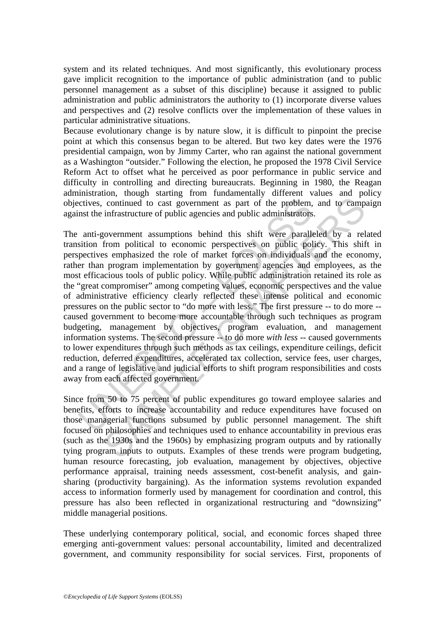system and its related techniques. And most significantly, this evolutionary process gave implicit recognition to the importance of public administration (and to public personnel management as a subset of this discipline) because it assigned to public administration and public administrators the authority to (1) incorporate diverse values and perspectives and (2) resolve conflicts over the implementation of these values in particular administrative situations.

Because evolutionary change is by nature slow, it is difficult to pinpoint the precise point at which this consensus began to be altered. But two key dates were the 1976 presidential campaign, won by Jimmy Carter, who ran against the national government as a Washington "outsider." Following the election, he proposed the 1978 Civil Service Reform Act to offset what he perceived as poor performance in public service and difficulty in controlling and directing bureaucrats. Beginning in 1980, the Reagan administration, though starting from fundamentally different values and policy objectives, continued to cast government as part of the problem, and to campaign against the infrastructure of public agencies and public administrators.

citives, continued to cast government as part of the problem,<br>nst the infrastructure of public agencies and public administrators<br>anti-government assumptions behind this shift were parallel<br>sition from political to economi continued to cast government as part of the problem, and to camp<br>infrastructure of public agencies and public administrators.<br>Covernment assumptions behind this shift were paralleled by a rel<br>from political to economic per The anti-government assumptions behind this shift were paralleled by a related transition from political to economic perspectives on public policy. This shift in perspectives emphasized the role of market forces on individuals and the economy, rather than program implementation by government agencies and employees, as the most efficacious tools of public policy. While public administration retained its role as the "great compromiser" among competing values, economic perspectives and the value of administrative efficiency clearly reflected these intense political and economic pressures on the public sector to "do more with less." The first pressure -- to do more - caused government to become more accountable through such techniques as program budgeting, management by objectives, program evaluation, and management information systems. The second pressure -- to do more *with less* -- caused governments to lower expenditures through such methods as tax ceilings, expenditure ceilings, deficit reduction, deferred expenditures, accelerated tax collection, service fees, user charges, and a range of legislative and judicial efforts to shift program responsibilities and costs away from each affected government.

Since from 50 to 75 percent of public expenditures go toward employee salaries and benefits, efforts to increase accountability and reduce expenditures have focused on those managerial functions subsumed by public personnel management. The shift focused on philosophies and techniques used to enhance accountability in previous eras (such as the 1930s and the 1960s) by emphasizing program outputs and by rationally tying program inputs to outputs. Examples of these trends were program budgeting, human resource forecasting, job evaluation, management by objectives, objective performance appraisal, training needs assessment, cost-benefit analysis, and gainsharing (productivity bargaining). As the information systems revolution expanded access to information formerly used by management for coordination and control, this pressure has also been reflected in organizational restructuring and "downsizing" middle managerial positions.

These underlying contemporary political, social, and economic forces shaped three emerging anti-government values: personal accountability, limited and decentralized government, and community responsibility for social services. First, proponents of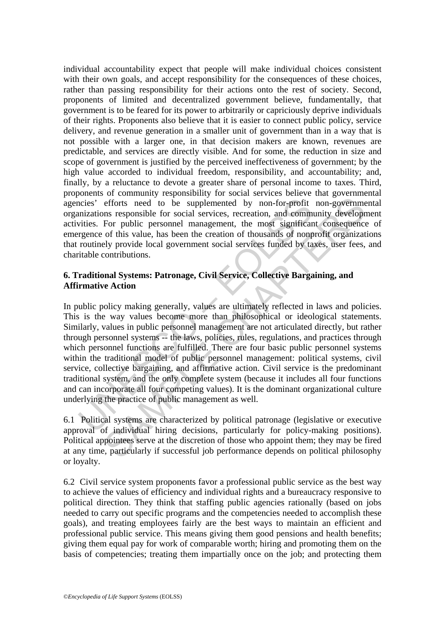individual accountability expect that people will make individual choices consistent with their own goals, and accept responsibility for the consequences of these choices, rather than passing responsibility for their actions onto the rest of society. Second, proponents of limited and decentralized government believe, fundamentally, that government is to be feared for its power to arbitrarily or capriciously deprive individuals of their rights. Proponents also believe that it is easier to connect public policy, service delivery, and revenue generation in a smaller unit of government than in a way that is not possible with a larger one, in that decision makers are known, revenues are predictable, and services are directly visible. And for some, the reduction in size and scope of government is justified by the perceived ineffectiveness of government; by the high value accorded to individual freedom, responsibility, and accountability; and, finally, by a reluctance to devote a greater share of personal income to taxes. Third, proponents of community responsibility for social services believe that governmental agencies' efforts need to be supplemented by non-for-profit non-governmental organizations responsible for social services, recreation, and community development activities. For public personnel management, the most significant consequence of emergence of this value, has been the creation of thousands of nonprofit organizations that routinely provide local government social services funded by taxes, user fees, and charitable contributions.

## **6. Traditional Systems: Patronage, Civil Service, Collective Bargaining, and Affirmative Action**

ncies' efforts need to be supplemented by non-for-profit<br>mizations responsible for social services, recreation, and comm<br>vities. For public personnel management, the most significar<br>regnee of this value, has been the creat efforts need to be supplemented by non-for-profit non-governmes<br>responsible for social services, recreation, and community developm<br>For public personnel management, the most significant consequence<br>of this value, has been In public policy making generally, values are ultimately reflected in laws and policies. This is the way values become more than philosophical or ideological statements. Similarly, values in public personnel management are not articulated directly, but rather through personnel systems -- the laws, policies, rules, regulations, and practices through which personnel functions are fulfilled. There are four basic public personnel systems within the traditional model of public personnel management: political systems, civil service, collective bargaining, and affirmative action. Civil service is the predominant traditional system, and the only complete system (because it includes all four functions and can incorporate all four competing values). It is the dominant organizational culture underlying the practice of public management as well.

6.1 Political systems are characterized by political patronage (legislative or executive approval of individual hiring decisions, particularly for policy-making positions). Political appointees serve at the discretion of those who appoint them; they may be fired at any time, particularly if successful job performance depends on political philosophy or loyalty.

6.2 Civil service system proponents favor a professional public service as the best way to achieve the values of efficiency and individual rights and a bureaucracy responsive to political direction. They think that staffing public agencies rationally (based on jobs needed to carry out specific programs and the competencies needed to accomplish these goals), and treating employees fairly are the best ways to maintain an efficient and professional public service. This means giving them good pensions and health benefits; giving them equal pay for work of comparable worth; hiring and promoting them on the basis of competencies; treating them impartially once on the job; and protecting them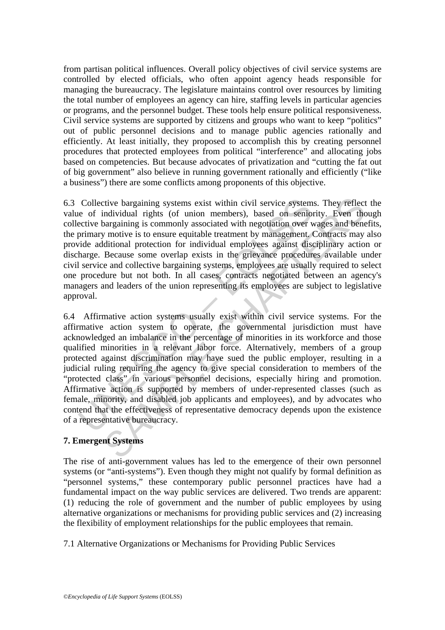from partisan political influences. Overall policy objectives of civil service systems are controlled by elected officials, who often appoint agency heads responsible for managing the bureaucracy. The legislature maintains control over resources by limiting the total number of employees an agency can hire, staffing levels in particular agencies or programs, and the personnel budget. These tools help ensure political responsiveness. Civil service systems are supported by citizens and groups who want to keep "politics" out of public personnel decisions and to manage public agencies rationally and efficiently. At least initially, they proposed to accomplish this by creating personnel procedures that protected employees from political "interference" and allocating jobs based on competencies. But because advocates of privatization and "cutting the fat out of big government" also believe in running government rationally and efficiently ("like a business") there are some conflicts among proponents of this objective.

6.3 Collective bargaining systems exist within civil service systems. They reflect the value of individual rights (of union members), based on seniority. Even though collective bargaining is commonly associated with negotiation over wages and benefits, the primary motive is to ensure equitable treatment by management. Contracts may also provide additional protection for individual employees against disciplinary action or discharge. Because some overlap exists in the grievance procedures available under civil service and collective bargaining systems, employees are usually required to select one procedure but not both. In all cases, contracts negotiated between an agency's managers and leaders of the union representing its employees are subject to legislative approval.

Collective bargaining systems exist within civil service system<br>e of individual rights (of union members), based on senion<br>ective bargaining is commonly associated with negotiation over v<br>primary motive is to ensure equita tive bargaining systems exist within civil service systems. They reflect<br>andividual rights (of union members), based on seniority. Even the<br>arguming is commonly associated with negotiation over wages and bene<br>arguming is c 6.4 Affirmative action systems usually exist within civil service systems. For the affirmative action system to operate, the governmental jurisdiction must have acknowledged an imbalance in the percentage of minorities in its workforce and those qualified minorities in a relevant labor force. Alternatively, members of a group protected against discrimination may have sued the public employer, resulting in a judicial ruling requiring the agency to give special consideration to members of the "protected class" in various personnel decisions, especially hiring and promotion. Affirmative action is supported by members of under-represented classes (such as female, minority, and disabled job applicants and employees), and by advocates who contend that the effectiveness of representative democracy depends upon the existence of a representative bureaucracy.

## **7. Emergent Systems**

The rise of anti-government values has led to the emergence of their own personnel systems (or "anti-systems"). Even though they might not qualify by formal definition as "personnel systems," these contemporary public personnel practices have had a fundamental impact on the way public services are delivered. Two trends are apparent: (1) reducing the role of government and the number of public employees by using alternative organizations or mechanisms for providing public services and (2) increasing the flexibility of employment relationships for the public employees that remain.

7.1 Alternative Organizations or Mechanisms for Providing Public Services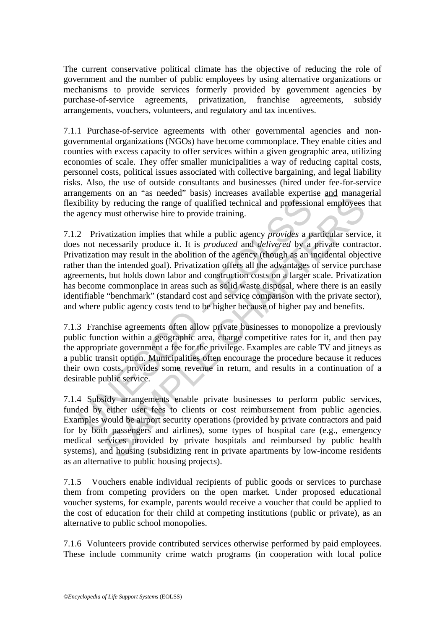The current conservative political climate has the objective of reducing the role of government and the number of public employees by using alternative organizations or mechanisms to provide services formerly provided by government agencies by purchase-of-service agreements, privatization, franchise agreements, subsidy arrangements, vouchers, volunteers, and regulatory and tax incentives.

7.1.1 Purchase-of-service agreements with other governmental agencies and nongovernmental organizations (NGOs) have become commonplace. They enable cities and counties with excess capacity to offer services within a given geographic area, utilizing economies of scale. They offer smaller municipalities a way of reducing capital costs, personnel costs, political issues associated with collective bargaining, and legal liability risks. Also, the use of outside consultants and businesses (hired under fee-for-service arrangements on an "as needed" basis) increases available expertise and managerial flexibility by reducing the range of qualified technical and professional employees that the agency must otherwise hire to provide training.

ibility by reducing the range of qualified technical and profession<br>agency must otherwise hire to provide training.<br>2 Privatization implies that while a public agency *provides* a p<br>a not necessarily produce it. It is *pro* by reducing the range of qualified technical and professional employees must otherwise hire to provide training.<br>
varization implies that while a public agency *provides* a particular servicecessarily produce it. It is *p* 7.1.2 Privatization implies that while a public agency *provides* a particular service, it does not necessarily produce it. It is *produced* and *delivered* by a private contractor. Privatization may result in the abolition of the agency (though as an incidental objective rather than the intended goal). Privatization offers all the advantages of service purchase agreements, but holds down labor and construction costs on a larger scale. Privatization has become commonplace in areas such as solid waste disposal, where there is an easily identifiable "benchmark" (standard cost and service comparison with the private sector), and where public agency costs tend to be higher because of higher pay and benefits.

7.1.3 Franchise agreements often allow private businesses to monopolize a previously public function within a geographic area, charge competitive rates for it, and then pay the appropriate government a fee for the privilege. Examples are cable TV and jitneys as a public transit option. Municipalities often encourage the procedure because it reduces their own costs, provides some revenue in return, and results in a continuation of a desirable public service.

7.1.4 Subsidy arrangements enable private businesses to perform public services, funded by either user fees to clients or cost reimbursement from public agencies. Examples would be airport security operations (provided by private contractors and paid for by both passengers and airlines), some types of hospital care (e.g., emergency medical services provided by private hospitals and reimbursed by public health systems), and housing (subsidizing rent in private apartments by low-income residents as an alternative to public housing projects).

7.1.5 Vouchers enable individual recipients of public goods or services to purchase them from competing providers on the open market. Under proposed educational voucher systems, for example, parents would receive a voucher that could be applied to the cost of education for their child at competing institutions (public or private), as an alternative to public school monopolies.

7.1.6 Volunteers provide contributed services otherwise performed by paid employees. These include community crime watch programs (in cooperation with local police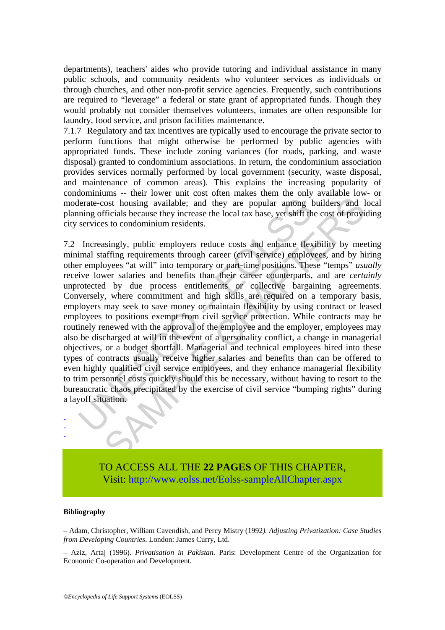departments), teachers' aides who provide tutoring and individual assistance in many public schools, and community residents who volunteer services as individuals or through churches, and other non-profit service agencies. Frequently, such contributions are required to "leverage" a federal or state grant of appropriated funds. Though they would probably not consider themselves volunteers, inmates are often responsible for laundry, food service, and prison facilities maintenance.

7.1.7 Regulatory and tax incentives are typically used to encourage the private sector to perform functions that might otherwise be performed by public agencies with appropriated funds. These include zoning variances (for roads, parking, and waste disposal) granted to condominium associations. In return, the condominium association provides services normally performed by local government (security, waste disposal, and maintenance of common areas). This explains the increasing popularity of condominiums -- their lower unit cost often makes them the only available low- or moderate-cost housing available; and they are popular among builders and local planning officials because they increase the local tax base, yet shift the cost of providing city services to condominium residents.

lerate-cost housing available; and they are popular among the position in the services to condominium residents.<br>
Increasingly, public employers reduce costs and enhance flex<br>
Increasingly, public employers reduce costs an for those and the provided to the exercise of civil service the property and the season of ficials because they increase the local tax base, yet shift the cost of provides to condominium residents.<br>
singly, public employer 7.2 Increasingly, public employers reduce costs and enhance flexibility by meeting minimal staffing requirements through career (civil service) employees, and by hiring other employees "at will" into temporary or part-time positions. These "temps" *usually*  receive lower salaries and benefits than their career counterparts, and are *certainly* unprotected by due process entitlements or collective bargaining agreements. Conversely, where commitment and high skills are required on a temporary basis, employers may seek to save money or maintain flexibility by using contract or leased employees to positions exempt from civil service protection. While contracts may be routinely renewed with the approval of the employee and the employer, employees may also be discharged at will in the event of a personality conflict, a change in managerial objectives, or a budget shortfall. Managerial and technical employees hired into these types of contracts usually receive higher salaries and benefits than can be offered to even highly qualified civil service employees, and they enhance managerial flexibility to trim personnel costs quickly should this be necessary, without having to resort to the bureaucratic chaos precipitated by the exercise of civil service "bumping rights" during a layoff situation.



#### **Bibliography**

- - -

– Adam, Christopher, William Cavendish, and Percy Mistry (1992*). Adjusting Privatization: Case Studies from Developing Countries*. London: James Curry, Ltd.

– Aziz, Artaj (1996). *Privatisation in Pakistan.* Paris: Development Centre of the Organization for Economic Co-operation and Development.